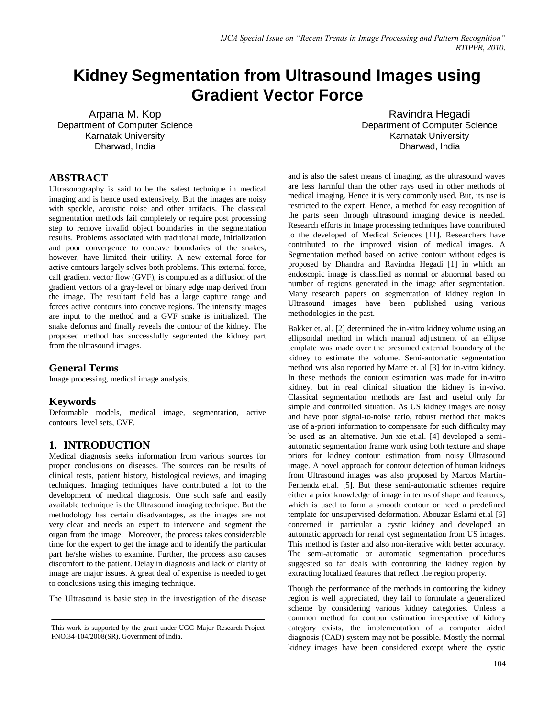# **Kidney Segmentation from Ultrasound Images using Gradient Vector Force**

Arpana M. Kop Department of Computer Science Karnatak University Dharwad, India

Ravindra Hegadi Department of Computer Science Karnatak University Dharwad, India

## **ABSTRACT**

Ultrasonography is said to be the safest technique in medical imaging and is hence used extensively. But the images are noisy with speckle, acoustic noise and other artifacts. The classical segmentation methods fail completely or require post processing step to remove invalid object boundaries in the segmentation results. Problems associated with traditional mode, initialization and poor convergence to concave boundaries of the snakes, however, have limited their utility. A new external force for active contours largely solves both problems. This external force, call gradient vector flow (GVF), is computed as a diffusion of the gradient vectors of a gray-level or binary edge map derived from the image. The resultant field has a large capture range and forces active contours into concave regions. The intensity images are input to the method and a GVF snake is initialized. The snake deforms and finally reveals the contour of the kidney. The proposed method has successfully segmented the kidney part from the ultrasound images.

## **General Terms**

Image processing, medical image analysis.

## **Keywords**

Deformable models, medical image, segmentation, active contours, level sets, GVF.

## **1. INTRODUCTION**

Medical diagnosis seeks information from various sources for proper conclusions on diseases. The sources can be results of clinical tests, patient history, histological reviews, and imaging techniques. Imaging techniques have contributed a lot to the development of medical diagnosis. One such safe and easily available technique is the Ultrasound imaging technique. But the methodology has certain disadvantages, as the images are not very clear and needs an expert to intervene and segment the organ from the image. Moreover, the process takes considerable time for the expert to get the image and to identify the particular part he/she wishes to examine. Further, the process also causes discomfort to the patient. Delay in diagnosis and lack of clarity of image are major issues. A great deal of expertise is needed to get to conclusions using this imaging technique.

The Ultrasound is basic step in the investigation of the disease

and is also the safest means of imaging, as the ultrasound waves are less harmful than the other rays used in other methods of medical imaging. Hence it is very commonly used. But, its use is restricted to the expert. Hence, a method for easy recognition of the parts seen through ultrasound imaging device is needed. Research efforts in Image processing techniques have contributed to the developed of Medical Sciences [11]. Researchers have contributed to the improved vision of medical images. A Segmentation method based on active contour without edges is proposed by Dhandra and Ravindra Hegadi [1] in which an endoscopic image is classified as normal or abnormal based on number of regions generated in the image after segmentation. Many research papers on segmentation of kidney region in Ultrasound images have been published using various methodologies in the past.

Bakker et. al. [2] determined the in-vitro kidney volume using an ellipsoidal method in which manual adjustment of an ellipse template was made over the presumed external boundary of the kidney to estimate the volume. Semi-automatic segmentation method was also reported by Matre et. al [3] for in-vitro kidney. In these methods the contour estimation was made for in-vitro kidney, but in real clinical situation the kidney is in-vivo. Classical segmentation methods are fast and useful only for simple and controlled situation. As US kidney images are noisy and have poor signal-to-noise ratio, robust method that makes use of a-priori information to compensate for such difficulty may be used as an alternative. Jun xie et.al. [4] developed a semiautomatic segmentation frame work using both texture and shape priors for kidney contour estimation from noisy Ultrasound image. A novel approach for contour detection of human kidneys from Ultrasound images was also proposed by Marcos Martin-Fernendz et.al. [5]. But these semi-automatic schemes require either a prior knowledge of image in terms of shape and features, which is used to form a smooth contour or need a predefined template for unsupervised deformation. Abouzar Eslami et.al [6] concerned in particular a cystic kidney and developed an automatic approach for renal cyst segmentation from US images. This method is faster and also non-iterative with better accuracy. The semi-automatic or automatic segmentation procedures suggested so far deals with contouring the kidney region by extracting localized features that reflect the region property.

Though the performance of the methods in contouring the kidney region is well appreciated, they fail to formulate a generalized scheme by considering various kidney categories. Unless a common method for contour estimation irrespective of kidney category exists, the implementation of a computer aided diagnosis (CAD) system may not be possible. Mostly the normal kidney images have been considered except where the cystic

This work is supported by the grant under UGC Major Research Project FNO.34-104/2008(SR), Government of India.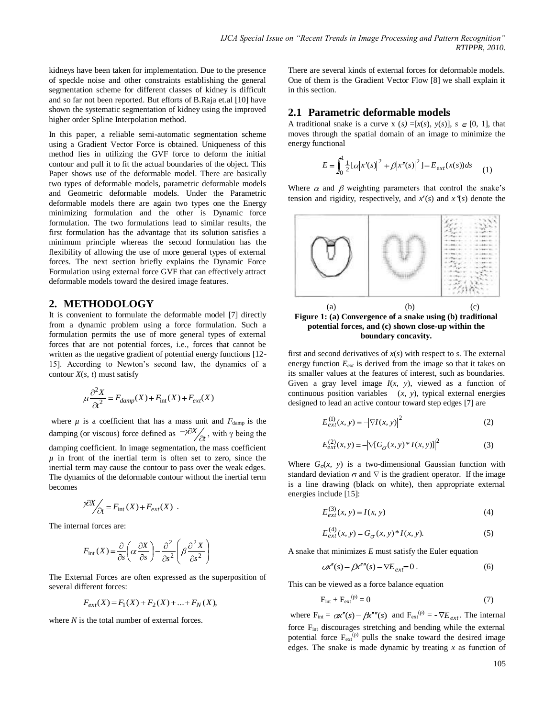kidneys have been taken for implementation. Due to the presence of speckle noise and other constraints establishing the general segmentation scheme for different classes of kidney is difficult and so far not been reported. But efforts of B.Raja et.al [10] have shown the systematic segmentation of kidney using the improved higher order Spline Interpolation method.

In this paper, a reliable semi-automatic segmentation scheme using a Gradient Vector Force is obtained. Uniqueness of this method lies in utilizing the GVF force to deform the initial contour and pull it to fit the actual boundaries of the object. This Paper shows use of the deformable model. There are basically two types of deformable models, parametric deformable models and Geometric deformable models. Under the Parametric deformable models there are again two types one the Energy minimizing formulation and the other is Dynamic force formulation. The two formulations lead to similar results, the first formulation has the advantage that its solution satisfies a minimum principle whereas the second formulation has the flexibility of allowing the use of more general types of external forces. The next section briefly explains the Dynamic Force Formulation using external force GVF that can effectively attract deformable models toward the desired image features.

## **2. METHODOLOGY**

It is convenient to formulate the deformable model [7] directly from a dynamic problem using a force formulation. Such a formulation permits the use of more general types of external forces that are not potential forces, i.e., forces that cannot be written as the negative gradient of potential energy functions [12-15]. According to Newton"s second law, the dynamics of a contour  $X(s, t)$  must satisfy

$$
\mu \frac{\partial^2 X}{\partial t^2} = F_{damp}(X) + F_{\text{int}}(X) + F_{ext}(X)
$$

where  $\mu$  is a coefficient that has a mass unit and  $F_{\text{damp}}$  is the damping (or viscous) force defined as  $-\frac{\gamma \sigma X}{\partial t}$  $X'_{\infty}$ , with  $\gamma$  being the damping coefficient. In image segmentation, the mass coefficient  $\mu$  in front of the inertial term is often set to zero, since the inertial term may cause the contour to pass over the weak edges. The dynamics of the deformable contour without the inertial term becomes

$$
\frac{\partial X}{\partial t} = F_{\text{int}}(X) + F_{ext}(X) .
$$

The internal forces are:

$$
F_{\rm int}(X) = \frac{\partial}{\partial s} \left( \alpha \frac{\partial X}{\partial s} \right) - \frac{\partial^2}{\partial s^2} \left( \beta \frac{\partial^2 X}{\partial s^2} \right)
$$

The External Forces are often expressed as the superposition of several different forces:

$$
F_{ext}(X) = F_1(X) + F_2(X) + \dots + F_N(X),
$$

where *N* is the total number of external forces.

There are several kinds of external forces for deformable models. One of them is the Gradient Vector Flow [8] we shall explain it in this section.

#### **2.1 Parametric deformable models**

A traditional snake is a curve x  $(s) = [x(s), y(s)], s \in [0, 1]$ , that moves through the spatial domain of an image to minimize the energy functional

$$
E = \int_0^1 \frac{1}{2} [\alpha |x'(s)|^2 + \beta |x''(s)|^2] + E_{ext}(x(s))ds \tag{1}
$$

Where  $\alpha$  and  $\beta$  weighting parameters that control the snake's tension and rigidity, respectively, and  $x'(s)$  and  $x''(s)$  denote the





first and second derivatives of  $x(s)$  with respect to  $s$ . The external energy function *Eext* is derived from the image so that it takes on its smaller values at the features of interest, such as boundaries. Given a gray level image *I*(*x, y*), viewed as a function of continuous position variables (*x, y*), typical external energies designed to lead an active contour toward step edges [7] are

$$
E_{ext}^{(1)}(x, y) = -|\nabla I(x, y)|^2
$$
 (2)

$$
E_{ext}^{(2)}(x, y) = -|\nabla[G_{\sigma}(x, y) * I(x, y)]|^{2}
$$
 (3)

Where  $G_{\sigma}(x, y)$  is a two-dimensional Gaussian function with standard deviation  $\sigma$  and  $\nabla$  is the gradient operator. If the image is a line drawing (black on white), then appropriate external energies include [15]:

$$
E_{ext}^{(3)}(x, y) = I(x, y)
$$
 (4)

$$
E_{ext}^{(4)}(x, y) = G_{\sigma}(x, y)^* I(x, y).
$$
 (5)

A snake that minimizes *E* must satisfy the Euler equation

$$
\alpha x''(s) - \beta x'''(s) - \nabla E_{ext} = 0.
$$
 (6)

This can be viewed as a force balance equation

$$
F_{\text{int}} + F_{\text{ext}}^{(p)} = 0 \tag{7}
$$

where  $F_{int} = \alpha x''(s) - \beta x'''(s)$  and  $F_{ext}^{(p)} = -\nabla E_{ext}$ . The internal force Fint discourages stretching and bending while the external potential force  $F_{ext}^{(p)}$  pulls the snake toward the desired image edges. The snake is made dynamic by treating *x* as function of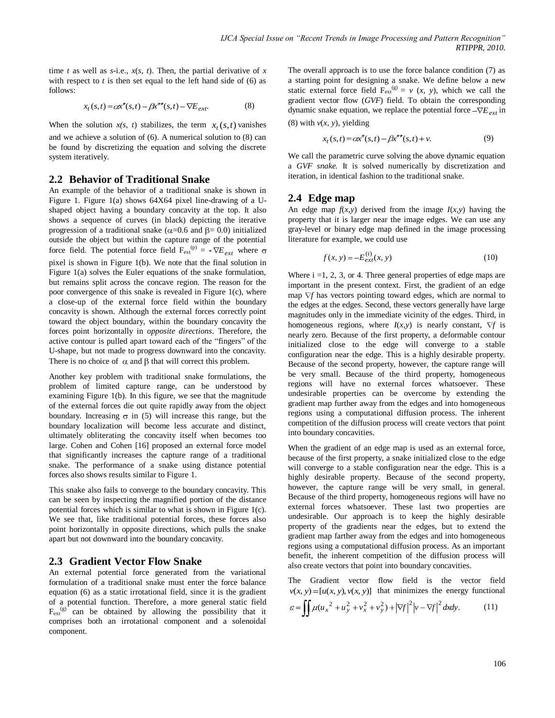time *t* as well as *s*-i.e.,  $x(s, t)$ . Then, the partial derivative of *x* with respect to  $t$  is then set equal to the left hand side of  $(6)$  as follows:

$$
x_t(s,t) = \alpha x''(s,t) - \beta x''''(s,t) - \nabla E_{ext}.
$$
 (8)

When the solution  $x(s, t)$  stabilizes, the term  $x_t(s,t)$  vanishes and we achieve a solution of (6). A numerical solution to (8) can be found by discretizing the equation and solving the discrete system iteratively.

## **2.2 Behavior of Traditional Snake**

An example of the behavior of a traditional snake is shown in Figure 1. Figure 1(a) shows 64X64 pixel line-drawing of a Ushaped object having a boundary concavity at the top. It also shows a sequence of curves (in black) depicting the iterative progression of a traditional snake ( $\alpha$ =0.6 and  $\beta$ =0.0) initialized outside the object but within the capture range of the potential force field. The potential force field  $F_{ext}^{(p)} = -\nabla E_{ext}$  where pixel is shown in Figure 1(b). We note that the final solution in Figure 1(a) solves the Euler equations of the snake formulation, but remains split across the concave region. The reason for the poor convergence of this snake is revealed in Figure 1(c), where a close-up of the external force field within the boundary concavity is shown. Although the external forces correctly point toward the object boundary, within the boundary concavity the forces point horizontally in *opposite directions*. Therefore, the active contour is pulled apart toward each of the "fingers" of the U-shape, but not made to progress downward into the concavity. There is no choice of  $\alpha$  and  $\beta$  that will correct this problem.

Another key problem with traditional snake formulations, the problem of limited capture range, can be understood by examining Figure 1(b). In this figure, we see that the magnitude of the external forces die out quite rapidly away from the object boundary. Increasing  $\sigma$  in (5) will increase this range, but the boundary localization will become less accurate and distinct, ultimately obliterating the concavity itself when becomes too large. Cohen and Cohen [16] proposed an external force model that significantly increases the capture range of a traditional snake. The performance of a snake using distance potential forces also shows results similar to Figure 1.

This snake also fails to converge to the boundary concavity. This can be seen by inspecting the magnified portion of the distance potential forces which is similar to what is shown in Figure 1(c). We see that, like traditional potential forces, these forces also point horizontally in opposite directions, which pulls the snake apart but not downward into the boundary concavity.

## **2.3 Gradient Vector Flow Snake**

An external potential force generated from the variational formulation of a traditional snake must enter the force balance equation (6) as a static irrotational field, since it is the gradient of a potential function. Therefore, a more general static field  $F_{ext}^{(g)}$  can be obtained by allowing the possibility that it comprises both an irrotational component and a solenoidal component.

The overall approach is to use the force balance condition (7) as a starting point for designing a snake. We define below a new static external force field  $F_{ext}^{(g)} = v(x, y)$ , which we call the gradient vector flow (*GVF*) field. To obtain the corresponding dynamic snake equation, we replace the potential force  $-\nabla E_{ext}$  in (8) with  $v(x, y)$ , yielding

$$
x_t(s,t) = c\alpha''(s,t) - \beta x'''(s,t) + v.
$$
\n(9)

We call the parametric curve solving the above dynamic equation a *GVF snake.* It is solved numerically by discretization and iteration, in identical fashion to the traditional snake.

#### **2.4 Edge map**

An edge map  $f(x, y)$  derived from the image  $I(x, y)$  having the property that it is larger near the image edges. We can use any gray-level or binary edge map defined in the image processing literature for example, we could use

$$
f(x, y) = -E_{ext}^{(i)}(x, y)
$$
 (10)

Where  $i = 1, 2, 3$ , or 4. Three general properties of edge maps are important in the present context. First, the gradient of an edge map  $\nabla f$  has vectors pointing toward edges, which are normal to the edges at the edges. Second, these vectors generally have large magnitudes only in the immediate vicinity of the edges. Third, in homogeneous regions, where  $I(x,y)$  is nearly constant,  $\nabla f$  is nearly zero. Because of the first property, a deformable contour initialized close to the edge will converge to a stable configuration near the edge. This is a highly desirable property. Because of the second property, however, the capture range will be very small. Because of the third property, homogeneous regions will have no external forces whatsoever. These undesirable properties can be overcome by extending the gradient map further away from the edges and into homogeneous regions using a computational diffusion process. The inherent competition of the diffusion process will create vectors that point into boundary concavities.

When the gradient of an edge map is used as an external force, because of the first property, a snake initialized close to the edge will converge to a stable configuration near the edge. This is a highly desirable property. Because of the second property, however, the capture range will be very small, in general. Because of the third property, homogeneous regions will have no external forces whatsoever. These last two properties are undesirable. Our approach is to keep the highly desirable property of the gradients near the edges, but to extend the gradient map farther away from the edges and into homogeneous regions using a computational diffusion process. As an important benefit, the inherent competition of the diffusion process will also create vectors that point into boundary concavities.

The Gradient vector flow field is the vector field  $v(x, y) = [u(x, y), v(x, y)]$  that minimizes the energy functional

$$
\varepsilon = \iint \mu (u_x^2 + u_y^2 + v_x^2 + v_y^2) + |\nabla f|^2 |v - \nabla f|^2 dx dy.
$$
 (11)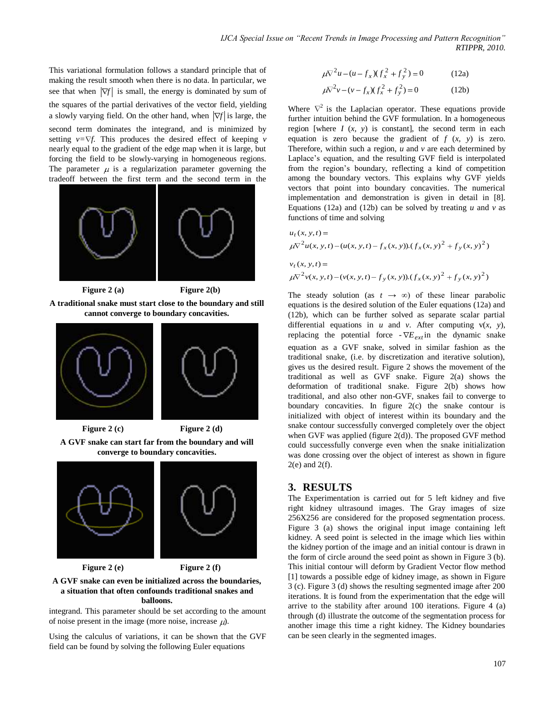This variational formulation follows a standard principle that of making the result smooth when there is no data. In particular, we see that when  $|\nabla f|$  is small, the energy is dominated by sum of the squares of the partial derivatives of the vector field, yielding a slowly varying field. On the other hand, when  $|\nabla f|$  is large, the second term dominates the integrand, and is minimized by setting  $v=\nabla f$ . This produces the desired effect of keeping *v* nearly equal to the gradient of the edge map when it is large, but forcing the field to be slowly-varying in homogeneous regions. The parameter  $\mu$  is a regularization parameter governing the tradeoff between the first term and the second term in the



**A traditional snake must start close to the boundary and still cannot converge to boundary concavities.**



**Figure 2 (c) Figure 2 (d)**

**A GVF snake can start far from the boundary and will converge to boundary concavities.**



**Figure 2 (e) Figure 2 (f)**

## **A GVF snake can even be initialized across the boundaries, a situation that often confounds traditional snakes and balloons.**

integrand. This parameter should be set according to the amount of noise present in the image (more noise, increase  $\mu$ ).

Using the calculus of variations, it can be shown that the GVF field can be found by solving the following Euler equations

$$
\mu \nabla^2 u - (u - f_x)(f_x^2 + f_y^2) = 0 \tag{12a}
$$

$$
\mu \nabla^2 v - (v - f_x)(f_x^2 + f_y^2) = 0 \tag{12b}
$$

Where  $\nabla^2$  is the Laplacian operator. These equations provide further intuition behind the GVF formulation. In a homogeneous region [where  $I(x, y)$  is constant], the second term in each equation is zero because the gradient of *f* (*x, y*) is zero. Therefore, within such a region, *u* and *v* are each determined by Laplace"s equation, and the resulting GVF field is interpolated from the region"s boundary, reflecting a kind of competition among the boundary vectors. This explains why GVF yields vectors that point into boundary concavities. The numerical implementation and demonstration is given in detail in [8]. Equations (12a) and (12b) can be solved by treating  $u$  and  $v$  as functions of time and solving

$$
u_t(x, y, t) =
$$
  
\n
$$
\mu \nabla^2 u(x, y, t) - (u(x, y, t) - f_x(x, y)) \cdot (f_x(x, y)^2 + f_y(x, y)^2)
$$
  
\n
$$
v_t(x, y, t) =
$$
  
\n
$$
\mu \nabla^2 v(x, y, t) - (v(x, y, t) - f_y(x, y)) \cdot (f_x(x, y)^2 + f_y(x, y)^2)
$$

The steady solution (as  $t \rightarrow \infty$ ) of these linear parabolic equations is the desired solution of the Euler equations (12a) and (12b), which can be further solved as separate scalar partial differential equations in  $u$  and  $v$ . After computing  $v(x, y)$ , replacing the potential force  $\nabla E_{ext}$  in the dynamic snake equation as a GVF snake, solved in similar fashion as the traditional snake, (i.e. by discretization and iterative solution), gives us the desired result. Figure 2 shows the movement of the traditional as well as GVF snake. Figure 2(a) shows the deformation of traditional snake. Figure 2(b) shows how traditional, and also other non-GVF, snakes fail to converge to boundary concavities. In figure 2(c) the snake contour is initialized with object of interest within its boundary and the snake contour successfully converged completely over the object when GVF was applied (figure 2(d)). The proposed GVF method could successfully converge even when the snake initialization was done crossing over the object of interest as shown in figure  $2(e)$  and  $2(f)$ .

# **3. RESULTS**

The Experimentation is carried out for 5 left kidney and five right kidney ultrasound images. The Gray images of size 256X256 are considered for the proposed segmentation process. Figure 3 (a) shows the original input image containing left kidney. A seed point is selected in the image which lies within the kidney portion of the image and an initial contour is drawn in the form of circle around the seed point as shown in Figure 3 (b). This initial contour will deform by Gradient Vector flow method [1] towards a possible edge of kidney image, as shown in Figure 3 (c). Figure 3 (d) shows the resulting segmented image after 200 iterations. It is found from the experimentation that the edge will arrive to the stability after around 100 iterations. Figure 4 (a) through (d) illustrate the outcome of the segmentation process for another image this time a right kidney. The Kidney boundaries can be seen clearly in the segmented images.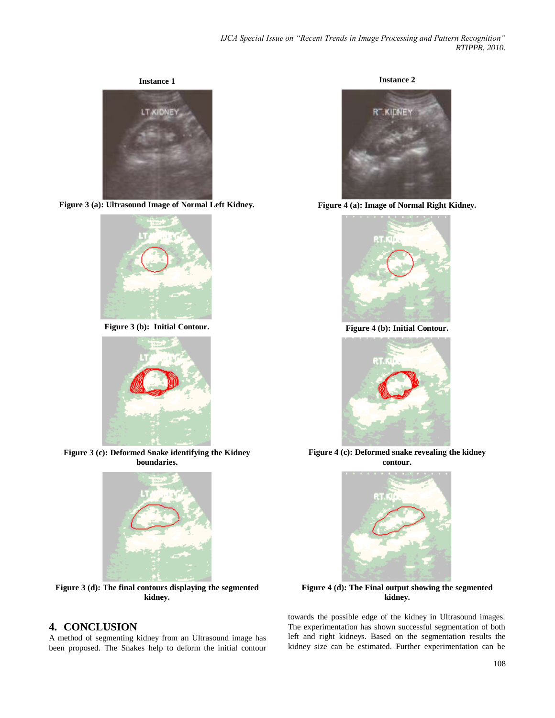**Instance 1**



**Figure 3 (a): Ultrasound Image of Normal Left Kidney.**



**Figure 3 (b): Initial Contour.**



**Figure 3 (c): Deformed Snake identifying the Kidney boundaries.**



**Figure 3 (d): The final contours displaying the segmented kidney.**

# **4. CONCLUSION**

A method of segmenting kidney from an Ultrasound image has been proposed. The Snakes help to deform the initial contour





**Figure 4 (a): Image of Normal Right Kidney.**



**Figure 4 (b): Initial Contour.**



**Figure 4 (c): Deformed snake revealing the kidney contour.**



**Figure 4 (d): The Final output showing the segmented kidney.**

towards the possible edge of the kidney in Ultrasound images. The experimentation has shown successful segmentation of both left and right kidneys. Based on the segmentation results the kidney size can be estimated. Further experimentation can be